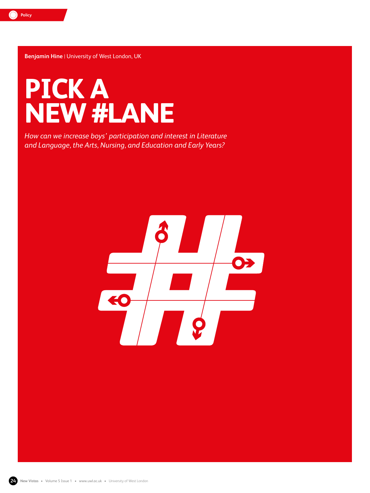

**Benjamin Hine** | University of West London, UK



*How can we increase boys' participation and interest in Literature and Language, the Arts, Nursing, and Education and Early Years?*



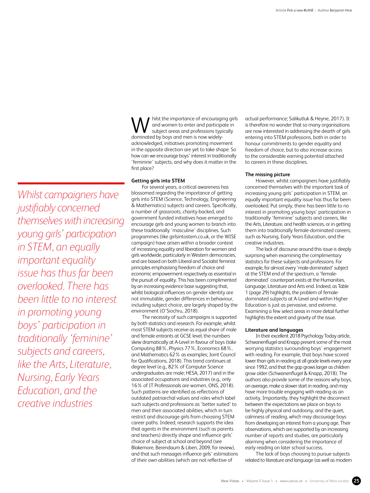hilst the importance of encouraging girls and women to enter and participate in subject areas and professions typically **M** hilst the importance of encouraging and women to enter and participe subject areas and professions typ dominated by boys and men is now widelyacknowledged, initiatives promoting movement in the opposite direction are yet to take shape. So how can we encourage boys' interest in traditionally 'feminine' subjects, and why does it matter in the first place?

## **Getting girls into STEM**

For several years, a critical awareness has blossomed regarding the importance of getting girls into STEM (Science, Technology, Engineering & Mathematics) subjects and careers. Specifically, a number of grassroots, charity-backed, and government funded initiatives have emerged to encourage girls and young women to branch into these traditionally 'masculine' disciplines. Such programmes (like girlsintostem.co.uk, or the WISE campaign) have arisen within a broader context of increasing equality and liberation for women and girls worldwide, particularly in Western democracies, and are based on both Liberal and Socialist feminist principles emphasising freedom of choice and economic empowerment respectively as essential in the pursuit of equality. This has been complimented by an increasing evidence base suggesting that, whilst biological influences on gender identity are not immutable, gender differences in behaviour, including subject choice, are largely shaped by the environment (O'Siochru, 2018).

The necessity of such campaigns is supported by both statistics and research. For example, whilst most STEM subjects receive as equal share of male and female entrants at GCSE level, the numbers skew dramatically at A-Level in favour of boys (take Computing 88%, Physics 77%, Economics 68%, and Mathematics 62% as examples; Joint Council for Qualifications, 2018). This trend continues at degree level (e.g., 82% of Computer Science undergraduates are male; HESA, 2017) and in the associated occupations and industries (e.g., only 16% of IT Professionals are women, ONS, 2018). Such patterns are identified as reflections of outdated patriarchal values and roles which label such subjects and professions as 'better suited' to men and their associated abilities, which in turn restrict and discourage girls from choosing STEM career paths. Indeed, research supports the idea that agents in the environment (such as parents and teachers) directly shape and influence girls' choice of subject at school and beyond (see Blakemore, Berendaum & Liben, 2009, for review), and that such messages influence girls' estimations of their own abilities (which are not reflective of

actual performance; Salikutluk & Heyne, 2017). It is therefore no wonder that so many organisations are now interested in addressing the dearth of girls entering into STEM professions, both in order to honour commitments to gender equality and freedom of choice, but to also increase access to the considerable earning potential attached to careers in these disciplines.

# **The missing picture**

However, whilst campaigners have justifiably concerned themselves with the important task of increasing young girls' participation in STEM, an equally important equality issue has thus far been overlooked. Put simply, there has been little to no interest in promoting young boys' participation in traditionally 'feminine' subjects and careers, like the Arts, Literature, and health sciences, or in getting them into traditionally female-dominated careers, such as Nursing, Early Years Education, and the creative industries.

The lack of discourse around this issue is deeply surprising when examining the complimentary statistics for these subjects and professions. For example, for almost every 'male-dominated' subject at the STEM end of the spectrum, a 'femaledominated' counterpart exists at the Humanities, Language, Literature and Arts end. Indeed, as Table 1 (page 29) highlights, the problem of femaledominated subjects at A-Level and within Higher Education is just as pervasive, and extreme. Examining a few select areas in more detail further highlights the extent and gravity of the issue.

### **Literature and languages**

In their excellent 2018 Psychology Today article, Schwanenflugel and Knapp present some of the most worrying statistics surrounding boys' engagement with reading. For example, that boys have scored lower than girls in reading at all grade levels every year since 1992, and that the gap grows larger as children grow older (Schwanenflugel & Knapp, 2018). The authors also provide some of the reasons why boys, on average, make a slower start in reading, and may have more trouble engaging with reading as an activity. Importantly, they highlight the disconnect between the expectations we place on boys to be highly physical and outdoorsy, and the quiet, calmness of reading, which may discourage boys from developing an interest from a young age. Their observations, which are supported by an increasing number of reports and studies, are particularly alarming when considering the importance of early reading on later school success.

The lack of boys choosing to pursue subjects related to literature and language (as well as modern

*Whilst campaigners have justifiably concerned themselves with increasing young girls' participation in STEM, an equally important equality issue has thus far been overlooked. There has been little to no interest in promoting young boys' participation in traditionally 'feminine' subjects and careers, like the Arts, Literature, Nursing, Early Years Education, and the creative industries*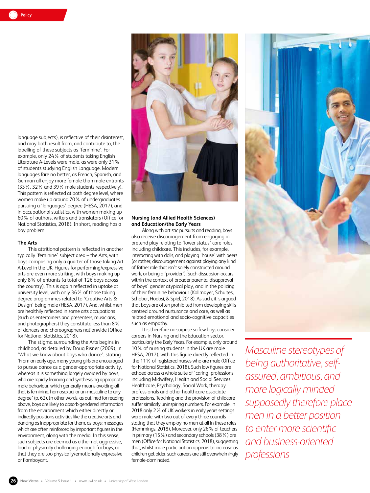language subjects), is reflective of their disinterest, and may both result from, and contribute to, the labelling of these subjects as 'feminine'. For example, only 24% of students taking English Literature A-Levels were male, as were only 31% of students studying English Language. Modern languages fare no better, as French, Spanish, and German all enjoy more female than male entrants (33%, 32% and 39% male students respectively). This pattern is reflected at both degree level, where women make up around 70% of undergraduates pursuing a 'languages' degree (HESA, 2017), and in occupational statistics, with women making up 60% of authors, writers and translators (Office for National Statistics, 2018). In short, reading has a boy problem.

### **The Arts**

This attritional pattern is reflected in another typically 'feminine' subject area – the Arts, with boys comprising only a quarter of those taking Art A-Level in the UK. Figures for performing/expressive arts are even more striking, with boys making up only 8% of entrants (a total of 126 boys across the country). This is again reflected in uptake at university level, with only 36% of those taking degree programmes related to 'Creative Arts & Design' being male (HESA, 2017). And, whilst men are healthily reflected in some arts occupations (such as entertainers and presenters, musicians, and photographers) they constitute less than 8% of dancers and choreographers nationwide (Office for National Statistics, 2018).

The stigma surrounding the Arts begins in childhood, as detailed by Doug Risner (2009), in 'What we know about boys who dance', stating 'From an early age, many young girls are encouraged to pursue dance as a gender-appropriate activity, whereas it is something largely avoided by boys, who are rapidly learning and synthesising appropriate male behaviour, which generally means avoiding all that is feminine, homosexual or un-masculine to any degree' (p. 62). In other words, as outlined for reading above, boys are likely to absorb gendered information from the environment which either directly or indirectly positions activities like the creative arts and dancing as inappropriate for them, as boys; messages which are often reinforced by important figures in the environment, along with the media. In this sense, such subjects are deemed as either not aggressive, loud or physically challenging enough for boys, or that they are too physically/emotionally expressive or flamboyant.



# **Nursing (and Allied Health Sciences) and Education/the Early Years**

Along with artistic pursuits and reading, boys also receive discouragement from engaging in pretend play relating to 'lower status' care roles, including childcare. This includes, for example, interacting with dolls, and playing 'house' with peers (or rather, discouragement against playing any kind of father role that isn't solely constructed around work, or being a 'provider'). Such dissuasion occurs within the context of broader parental disapproval of boys' gender atypical play, and in the policing of their feminine behaviour (Kollmayer, Schultes, Schober, Hodosi, & Spiel, 2018). As such, it is argued that boys are often prohibited from developing skills centred around nurturance and care, as well as related emotional and socio-cognitive capacities such as empathy.

It is therefore no surprise so few boys consider careers in Nursing and the Education sector, particularly the Early Years. For example, only around 10% of nursing students in the UK are male HESA, 2017), with this figure directly reflected in the 11% of registered nurses who are male (Office for National Statistics, 2018). Such low figures are echoed across a whole suite of 'caring' professions including Midwifery, Health and Social Services, Healthcare, Psychology, Social Work, therapy professionals and other healthcare associate professions. Teaching and the provision of childcare suffer similarly uninspiring numbers. For example, in 2018 only 2% of UK workers in early years settings were male, with two out of every three councils stating that they employ no men at all in these roles (Hemmings, 2018). Moreover, only 26% of teachers in primary (15%) and secondary schools (38%) are men (Office for National Statistics, 2018), suggesting that, whilst male participation appears to increase as children get older, such careers are still overwhelmingly female-dominated.



*Masculine stereotypes of being authoritative, selfassured, ambitious, and more logically minded supposedly therefore place men in a better position to enter more scientific and business-oriented professions*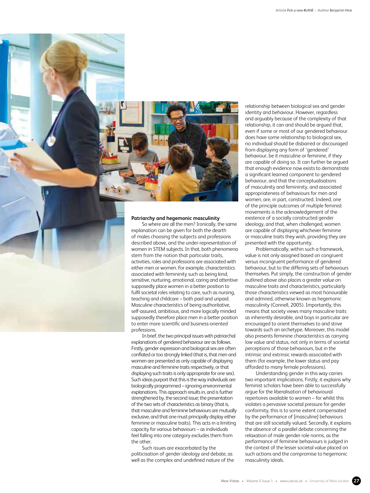

## **Patriarchy and hegemonic masculinity**

So where are all the men? Ironically, the same explanation can be given for both the dearth of males choosing the subjects and professions described above, and the under-representation of women in STEM subjects. In that, both phenomena stem from the notion that particular traits, activities, roles and professions are associated with either men or women. For example, characteristics associated with femininity such as being kind, sensitive, nurturing, emotional, caring and attentive supposedly place women in a better position to fulfil societal roles relating to care, such as nursing, teaching and childcare – both paid and unpaid. Masculine characteristics of being authoritative, self-assured, ambitious, and more logically minded supposedly therefore place men in a better position to enter more scientific and business-oriented professions.

In brief, the two principal issues with patriarchal explanations of gendered behaviour are as follows. Firstly, gender expression and biological sex are often conflated or too strongly linked (that is, that men and women are presented as only capable of displaying masculine and feminine traits respectively, or that displaying such traits is only appropriate for one sex). Such ideas purport that this is the way individuals are biologically programmed – ignoring environmental explanations. This approach results in, and is further strengthened by, the second issue; the presentation of the two sets of characteristics as binary (that is, that masculine and feminine behaviours are mutually exclusive, and that one must principally display either feminine or masculine traits). This acts in a limiting capacity for various behaviours – as individuals feel falling into one category excludes them from the other.

Such issues are exacerbated by the politicisation of gender ideology and debate, as well as the complex and undefined nature of the relationship between biological sex and gender identity and behaviour. However, regardless and arguably because of the complexity of that relationship, it can and should be argued that, even if some or most of our gendered behaviour does have some relationship to biological sex, no individual should be disbarred or discouraged from displaying any form of 'gendered' behaviour, be it masculine or feminine, if they are capable of doing so. It can further be argued that enough evidence now exists to demonstrate a significant learned component to gendered behaviour, and that the conceptualisations of masculinity and femininity, and associated appropriateness of behaviours for men and women, are, in part, constructed. Indeed, one of the principle outcomes of multiple feminist movements is the acknowledgement of the existence of a socially constructed gender ideology, and that, when challenged, women are capable of displaying whichever feminine or masculine traits they wish, providing they are presented with the opportunity.

Problematically, within such a framework, value is not only assigned based on congruent versus incongruent performance of gendered behaviour, but to the differing sets of behaviours themselves. Put simply, the construction of gender outlined above also places a greater value on masculine traits and characteristics, particularly those characteristics viewed as most honourable and admired, otherwise known as hegemonic masculinity (Connell, 2005). Importantly, this means that society views many masculine traits as inherently desirable, and boys in particular are encouraged to orient themselves to and strive towards such an archetype. Moreover, this model also presents feminine characteristics as carrying low value and status, not only in terms of societal perceptions of those behaviours, but in the intrinsic and extrinsic rewards associated with them (for example, the lower status and pay afforded to many female professions).

Understanding gender in this way carries two important implications. Firstly, it explains why feminist scholars have been able to successfully argue for the liberalisation of behavioural repertoires available to women – for whilst this violates a pervasive societal pressure for gender conformity, this is to some extent compensated by the performance of [masculine] behaviours that are still societally valued. Secondly, it explains the absence of a parallel debate concerning the relaxation of male gender role norms, as the performance of feminine behaviours is judged in the context of the lesser societal value placed on such actions and the compromise to hegemonic masculinity ideals.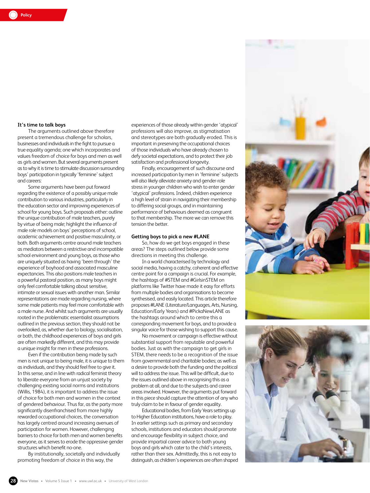# **It's time to talk boys**

The arguments outlined above therefore present a tremendous challenge for scholars, businesses and individuals in the fight to pursue a true equality agenda; one which incorporates and values freedom of choice for boys and men as well as girls and women. But several arguments present as to why it is time to stimulate discussion surrounding boys' participation in typically 'feminine' subject and careers:

Some arguments have been put forward regarding the existence of a possibly unique male contribution to various industries, particularly in the education sector and improving experiences of school for young boys. Such proposals either: outline the unique contribution of male teachers, purely by virtue of being male; highlight the influence of male role models on boys' perceptions of school, academic achievement and positive masculinity, or both. Both arguments centre around male teachers as mediators between a restrictive and incompatible school environment and young boys, as those who are uniquely situated as having 'been through' the experience of boyhood and associated masculine expectancies. This also positions male teachers in a powerful pastoral position, as many boys might only feel comfortable talking about sensitive, intimate or sexual issues with another man. Similar representations are made regarding nursing, where some male patients may feel more comfortable with a male nurse. And whilst such arguments are usually rooted in the problematic essentialist assumptions outlined in the previous section, they should not be overlooked, as, whether due to biology, socialisation, or both, the childhood experiences of boys and girls are often markedly different, and this may provide a unique insight for men in these professions.

Even if the contribution being made by such men is not unique to being male, it is unique to them as individuals, and they should feel free to give it. In this sense, and in line with radical feminist theory to liberate everyone from an unjust society by challenging existing social norms and institutions (Willis, 1984), it is important to address the issue of choice for both men and women in the context of gendered behaviour. Thus far, as the party more significantly disenfranchised from more highly rewarded occupational choices, the conversation has largely centred around increasing avenues of participation for women. However, challenging barriers to choice for both men and women benefits everyone, as it serves to erode the oppressive gender structures which benefit no-one.

By institutionally, societally and individually promoting freedom of choice in this way, the

experiences of those already within gender 'atypical' professions will also improve, as stigmatisation and stereotypes are both gradually eroded. This is important in preserving the occupational choices of those individuals who have already chosen to defy societal expectations, and to protect their job satisfaction and professional longevity.

Finally, encouragement of such discourse and increased participation by men in 'feminine' subjects will also likely alleviate anxiety and gender-role stress in younger children who wish to enter gender 'atypical' professions. Indeed, children experience a high level of strain in navigating their membership to differing social groups, and in maintaining performance of behaviours deemed as congruent to that membership. The more we can remove this tension the better.

### **Getting boys to pick a new #LANE**

So, how do we get boys engaged in these areas? The steps outlined below provide some directions in meeting this challenge.

In a world characterised by technology and social media, having a catchy, coherent and effective centre point for a campaign is crucial. For example, the hashtags of #STEM and #GirlsinSTEM on platforms like Twitter have made it easy for efforts from multiple bodies and organisations to become synthesised, and easily located. This article therefore proposes #LANE (Literature/Languages, Arts, Nursing, Education/Early Years) and #PickaNewLANE as the hashtags around which to centre this a corresponding movement for boys, and to provide a singular voice for those wishing to support this cause.

No movement or campaign is effective without substantial support from reputable and powerful bodies. Just as with the campaign to get girls in STEM, there needs to be a recognition of the issue from governmental and charitable bodies; as well as a desire to provide both the funding and the political will to address the issue. This will be difficult, due to the issues outlined above in recognising this as a problem at all, and due to the subjects and career areas involved. However, the arguments put forward in this piece should capture the attention of any who truly claim to be in favour of gender equality.

Educational bodies, from Early Years settings up to Higher Education institutions, have a role to play. In earlier settings such as primary and secondary schools, institutions and educators should promote and encourage flexibility in subject choice, and provide impartial career advice to both young boys and girls which cater to the child's interests, rather than their sex. Admittedly, this is not easy to distinguish, as children's experiences are often shaped

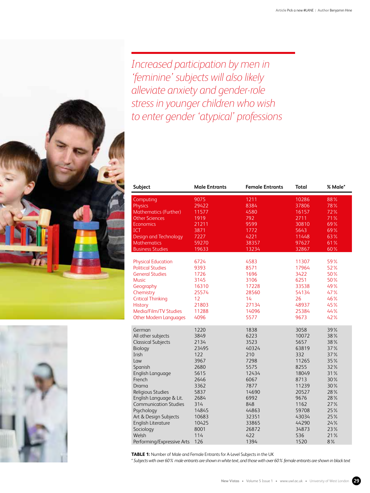*Increased participation by men in 'feminine' subjects will also likely alleviate anxiety and gender-role stress in younger children who wish to enter gender 'atypical' professions*

| <b>Subject</b>                | <b>Male Entrants</b> | <b>Female Entrants</b> | <b>Total</b> | % Male* |
|-------------------------------|----------------------|------------------------|--------------|---------|
| Computing                     | 9075                 | 1211                   | 10286        | 88%     |
| <b>Physics</b>                | 29422                | 8384                   | 37806        | 78%     |
| <b>Mathematics (Further)</b>  | 11577                | 4580                   | 16157        | 72%     |
| <b>Other Sciences</b>         | 1919                 | 792                    | 2711         | 71%     |
| <b>Economics</b>              | 21211                | 9599                   | 30810        | 69%     |
| <b>ICT</b>                    | 3871                 | 1772                   | 5643         | 69%     |
| Design and Technology         | 7227                 | 4221                   | 11448        | 63%     |
| <b>Mathematics</b>            | 59270                | 38357                  | 97627        | 61%     |
| <b>Business Studies</b>       | 19633                | 13234                  | 32867        | 60%     |
| <b>Physical Education</b>     | 6724                 | 4583                   | 11307        | 59%     |
| <b>Political Studies</b>      | 9393                 | 8571                   | 17964        | 52%     |
| <b>General Studies</b>        | 1726                 | 1696                   | 3422         | 50%     |
| <b>Music</b>                  | 3145                 | 3106                   | 6251         | 50%     |
| Geography                     | 16310                | 17228                  | 33538        | 49%     |
| Chemistry                     | 25574                | 28560                  | 54134        | 47%     |
| <b>Critical Thinking</b>      | 12                   | 14                     | 26           | 46%     |
| <b>History</b>                | 21803                | 27134                  | 48937        | 45%     |
| Media/Film/TV Studies         | 11288                | 14096                  | 25384        | 44%     |
| <b>Other Modern Languages</b> | 4096                 | 5577                   | 9673         | 42%     |
|                               |                      |                        |              |         |
| German                        | 1220                 | 1838                   | 3058         | 39%     |
| All other subjects            | 3849                 | 6223                   | 10072        | 38%     |
| <b>Classical Subjects</b>     | 2134                 | 3523                   | 5657         | 38%     |
| Biology                       | 23495                | 40324                  | 63819        | 37%     |
| Irish                         | 122                  | 210                    | 332          | 37%     |
| Law                           | 3967                 | 7298                   | 11265        | 35%     |
| Spanish                       | 2680                 | 5575                   | 8255         | 32%     |
| English Language              | 5615                 | 12434                  | 18049        | 31%     |
| French                        | 2646                 | 6067                   | 8713         | 30%     |
| Drama                         | 3362                 | 7877                   | 11239        | 30%     |
| Religious Studies             | 5837                 | 14690                  | 20527        | 28%     |
| English Language & Lit.       | 2684                 | 6992                   | 9676         | 28%     |
| <b>Communication Studies</b>  | 314                  | 848                    | 1162         | 27%     |
| Psychology                    | 14845                | 44863                  | 59708        | 25%     |
| Art & Design Subjects         | 10683                | 32351                  | 43034        | 25%     |
| English Literature            | 10425                | 33865                  | 44290        | 24%     |
| Sociology                     | 8001                 | 26872                  | 34873        | 23%     |
| Welsh                         | 114                  | 422                    | 536          | 21%     |
| Performing/Expressive Arts    | 126                  | 1394                   | 1520         | 8%      |

**TABLE 1:** Number of Male and Female Entrants for A-Level Subjects in the UK

*\* Subjects with over 60% male entrants are shown in white text, and those with over 60% female entrants are shown in black text*